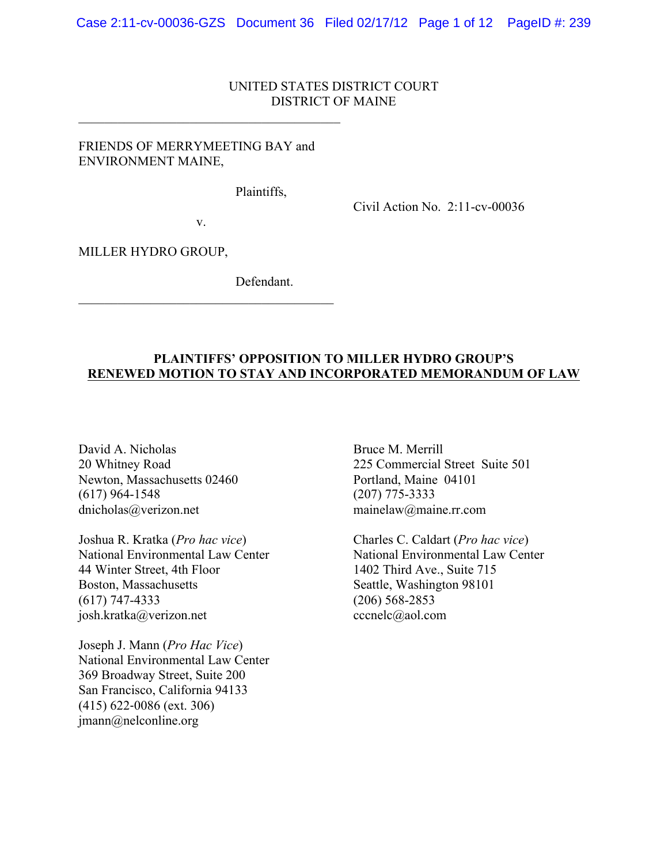# UNITED STATES DISTRICT COURT DISTRICT OF MAINE

# FRIENDS OF MERRYMEETING BAY and ENVIRONMENT MAINE,

 $\mathcal{L}_\text{max}$  , and the set of the set of the set of the set of the set of the set of the set of the set of the set of the set of the set of the set of the set of the set of the set of the set of the set of the set of the

Plaintiffs,

Civil Action No. 2:11-cv-00036

v.

 $\mathcal{L}_\text{max}$ 

MILLER HYDRO GROUP,

Defendant.

### **PLAINTIFFS' OPPOSITION TO MILLER HYDRO GROUP'S RENEWED MOTION TO STAY AND INCORPORATED MEMORANDUM OF LAW**

David A. Nicholas Bruce M. Merrill Newton, Massachusetts 02460 Portland, Maine 04101 (617) 964-1548 (207) 775-3333 dnicholas@verizon.net mainelaw@maine.rr.com

Joshua R. Kratka (*Pro hac vice*) Charles C. Caldart (*Pro hac vice*) National Environmental Law Center National Environmental Law Center 44 Winter Street, 4th Floor 1402 Third Ave., Suite 715 Boston, Massachusetts Seattle, Washington 98101 (617) 747-4333 (206) 568-2853 josh.kratka@verizon.net cccnelc@aol.com

Joseph J. Mann (*Pro Hac Vice*) National Environmental Law Center 369 Broadway Street, Suite 200 San Francisco, California 94133 (415) 622‐0086 (ext. 306) jmann@nelconline.org

20 Whitney Road 225 Commercial Street Suite 501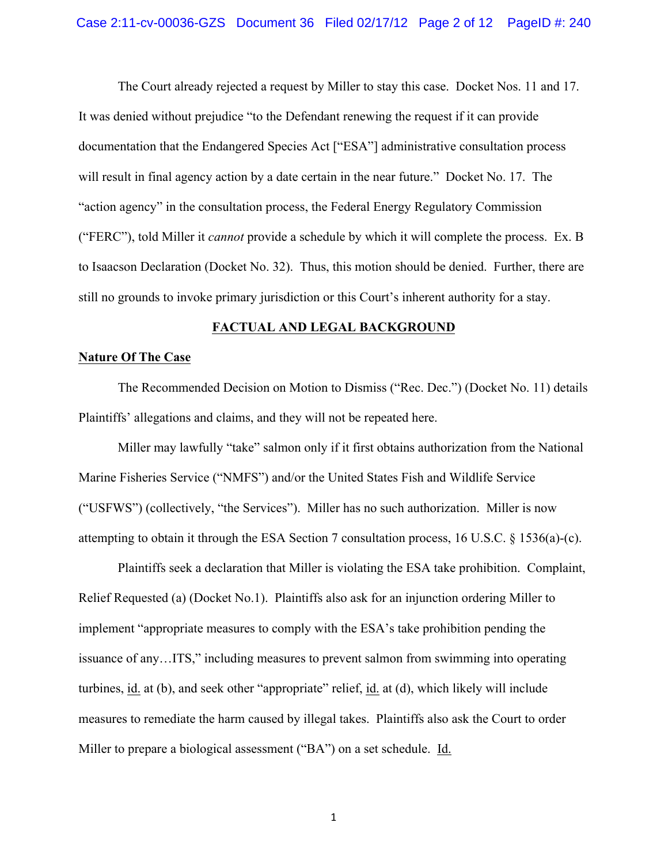The Court already rejected a request by Miller to stay this case. Docket Nos. 11 and 17. It was denied without prejudice "to the Defendant renewing the request if it can provide documentation that the Endangered Species Act ["ESA"] administrative consultation process will result in final agency action by a date certain in the near future." Docket No. 17. The "action agency" in the consultation process, the Federal Energy Regulatory Commission ("FERC"), told Miller it *cannot* provide a schedule by which it will complete the process. Ex. B to Isaacson Declaration (Docket No. 32). Thus, this motion should be denied. Further, there are still no grounds to invoke primary jurisdiction or this Court's inherent authority for a stay.

### **FACTUAL AND LEGAL BACKGROUND**

### **Nature Of The Case**

The Recommended Decision on Motion to Dismiss ("Rec. Dec.") (Docket No. 11) details Plaintiffs' allegations and claims, and they will not be repeated here.

Miller may lawfully "take" salmon only if it first obtains authorization from the National Marine Fisheries Service ("NMFS") and/or the United States Fish and Wildlife Service ("USFWS") (collectively, "the Services"). Miller has no such authorization. Miller is now attempting to obtain it through the ESA Section 7 consultation process, 16 U.S.C. § 1536(a)-(c).

Plaintiffs seek a declaration that Miller is violating the ESA take prohibition. Complaint, Relief Requested (a) (Docket No.1). Plaintiffs also ask for an injunction ordering Miller to implement "appropriate measures to comply with the ESA's take prohibition pending the issuance of any…ITS," including measures to prevent salmon from swimming into operating turbines, id. at (b), and seek other "appropriate" relief, id. at (d), which likely will include measures to remediate the harm caused by illegal takes. Plaintiffs also ask the Court to order Miller to prepare a biological assessment ("BA") on a set schedule. Id.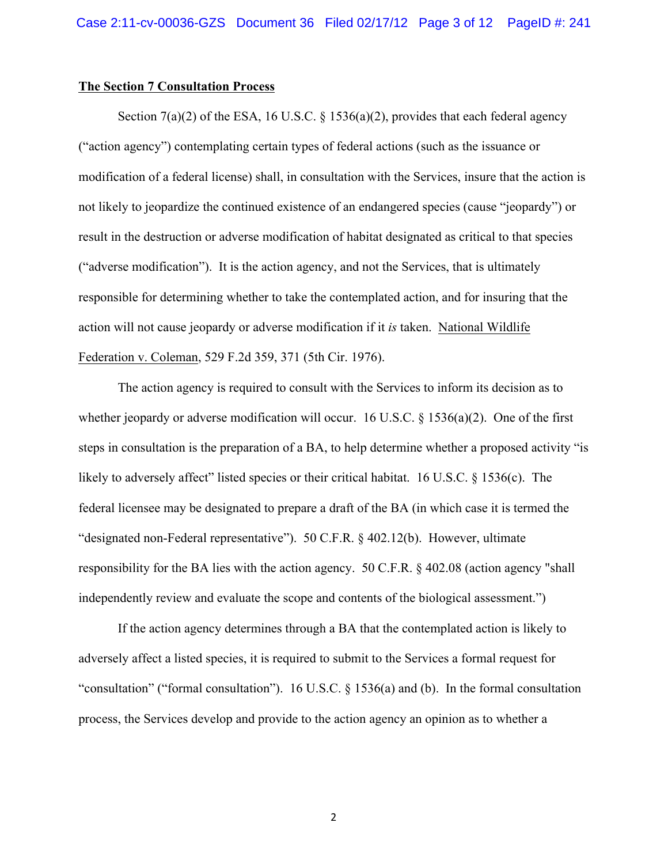#### **The Section 7 Consultation Process**

Section  $7(a)(2)$  of the ESA, 16 U.S.C. § 1536(a)(2), provides that each federal agency ("action agency") contemplating certain types of federal actions (such as the issuance or modification of a federal license) shall, in consultation with the Services, insure that the action is not likely to jeopardize the continued existence of an endangered species (cause "jeopardy") or result in the destruction or adverse modification of habitat designated as critical to that species ("adverse modification"). It is the action agency, and not the Services, that is ultimately responsible for determining whether to take the contemplated action, and for insuring that the action will not cause jeopardy or adverse modification if it *is* taken. National Wildlife Federation v. Coleman, 529 F.2d 359, 371 (5th Cir. 1976).

The action agency is required to consult with the Services to inform its decision as to whether jeopardy or adverse modification will occur. 16 U.S.C.  $\S$  1536(a)(2). One of the first steps in consultation is the preparation of a BA, to help determine whether a proposed activity "is likely to adversely affect" listed species or their critical habitat. 16 U.S.C. § 1536(c). The federal licensee may be designated to prepare a draft of the BA (in which case it is termed the "designated non-Federal representative"). 50 C.F.R. § 402.12(b). However, ultimate responsibility for the BA lies with the action agency. 50 C.F.R. § 402.08 (action agency "shall independently review and evaluate the scope and contents of the biological assessment.")

If the action agency determines through a BA that the contemplated action is likely to adversely affect a listed species, it is required to submit to the Services a formal request for "consultation" ("formal consultation"). 16 U.S.C. § 1536(a) and (b). In the formal consultation process, the Services develop and provide to the action agency an opinion as to whether a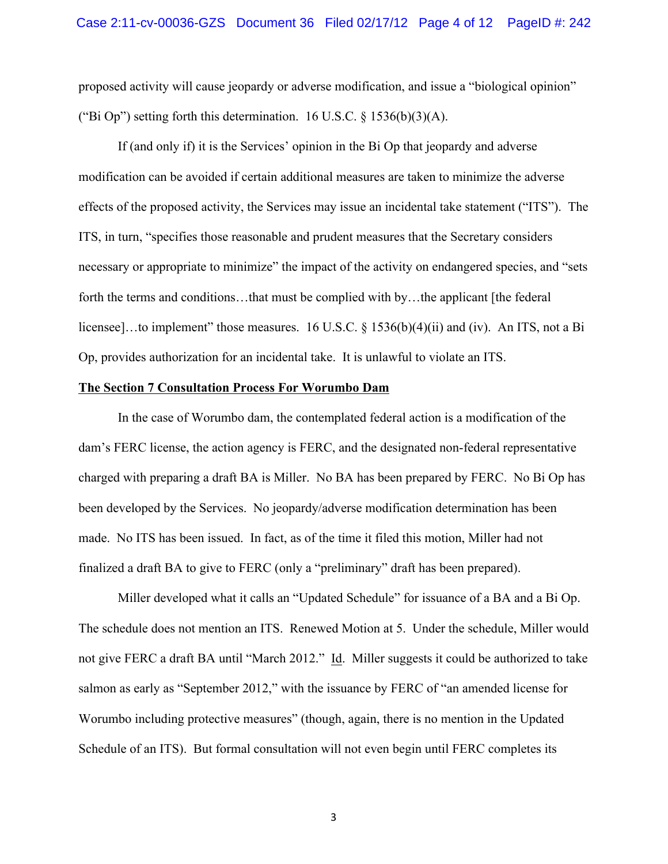proposed activity will cause jeopardy or adverse modification, and issue a "biological opinion" ("Bi Op") setting forth this determination. 16 U.S.C.  $\S$  1536(b)(3)(A).

If (and only if) it is the Services' opinion in the Bi Op that jeopardy and adverse modification can be avoided if certain additional measures are taken to minimize the adverse effects of the proposed activity, the Services may issue an incidental take statement ("ITS"). The ITS, in turn, "specifies those reasonable and prudent measures that the Secretary considers necessary or appropriate to minimize" the impact of the activity on endangered species, and "sets forth the terms and conditions...that must be complied with by...the applicant [the federal] licensee]...to implement" those measures. 16 U.S.C. § 1536(b)(4)(ii) and (iv). An ITS, not a Bi Op, provides authorization for an incidental take. It is unlawful to violate an ITS.

## **The Section 7 Consultation Process For Worumbo Dam**

In the case of Worumbo dam, the contemplated federal action is a modification of the dam's FERC license, the action agency is FERC, and the designated non-federal representative charged with preparing a draft BA is Miller. No BA has been prepared by FERC. No Bi Op has been developed by the Services. No jeopardy/adverse modification determination has been made. No ITS has been issued. In fact, as of the time it filed this motion, Miller had not finalized a draft BA to give to FERC (only a "preliminary" draft has been prepared).

Miller developed what it calls an "Updated Schedule" for issuance of a BA and a Bi Op. The schedule does not mention an ITS. Renewed Motion at 5. Under the schedule, Miller would not give FERC a draft BA until "March 2012." Id. Miller suggests it could be authorized to take salmon as early as "September 2012," with the issuance by FERC of "an amended license for Worumbo including protective measures" (though, again, there is no mention in the Updated Schedule of an ITS). But formal consultation will not even begin until FERC completes its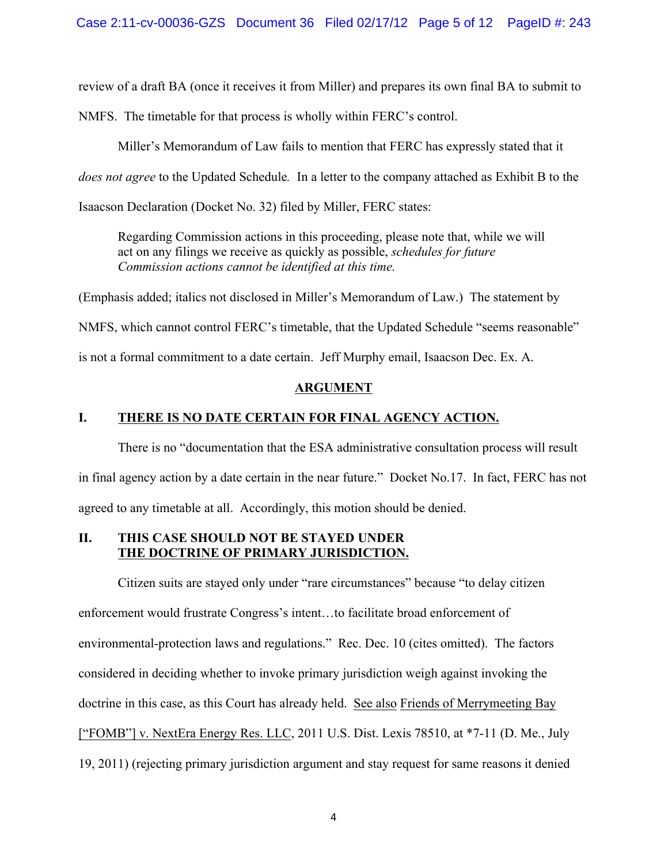review of a draft BA (once it receives it from Miller) and prepares its own final BA to submit to

NMFS. The timetable for that process is wholly within FERC's control.

Miller's Memorandum of Law fails to mention that FERC has expressly stated that it

*does not agree* to the Updated Schedule*.* In a letter to the company attached as Exhibit B to the

Isaacson Declaration (Docket No. 32) filed by Miller, FERC states:

Regarding Commission actions in this proceeding, please note that, while we will act on any filings we receive as quickly as possible, *schedules for future Commission actions cannot be identified at this time.*

(Emphasis added; italics not disclosed in Miller's Memorandum of Law.) The statement by

NMFS, which cannot control FERC's timetable, that the Updated Schedule "seems reasonable"

is not a formal commitment to a date certain. Jeff Murphy email, Isaacson Dec. Ex. A.

# **ARGUMENT**

# **I. THERE IS NO DATE CERTAIN FOR FINAL AGENCY ACTION.**

There is no "documentation that the ESA administrative consultation process will result in final agency action by a date certain in the near future." Docket No.17. In fact, FERC has not agreed to any timetable at all. Accordingly, this motion should be denied.

# **II. THIS CASE SHOULD NOT BE STAYED UNDER THE DOCTRINE OF PRIMARY JURISDICTION.**

Citizen suits are stayed only under "rare circumstances" because "to delay citizen enforcement would frustrate Congress's intent…to facilitate broad enforcement of environmental-protection laws and regulations." Rec. Dec. 10 (cites omitted). The factors considered in deciding whether to invoke primary jurisdiction weigh against invoking the doctrine in this case, as this Court has already held. See also Friends of Merrymeeting Bay ["FOMB"] v. NextEra Energy Res. LLC, 2011 U.S. Dist. Lexis 78510, at \*7-11 (D. Me., July 19, 2011) (rejecting primary jurisdiction argument and stay request for same reasons it denied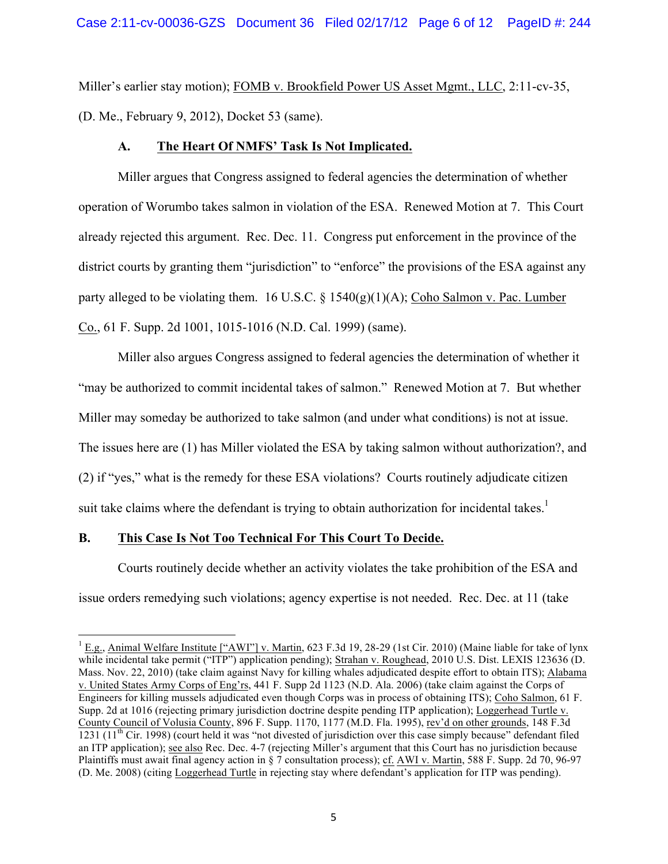Miller's earlier stay motion); FOMB v. Brookfield Power US Asset Mgmt., LLC, 2:11-cv-35, (D. Me., February 9, 2012), Docket 53 (same).

# **A. The Heart Of NMFS' Task Is Not Implicated.**

Miller argues that Congress assigned to federal agencies the determination of whether operation of Worumbo takes salmon in violation of the ESA. Renewed Motion at 7. This Court already rejected this argument. Rec. Dec. 11. Congress put enforcement in the province of the district courts by granting them "jurisdiction" to "enforce" the provisions of the ESA against any party alleged to be violating them. 16 U.S.C.  $\S$  1540(g)(1)(A); Coho Salmon v. Pac. Lumber Co., 61 F. Supp. 2d 1001, 1015-1016 (N.D. Cal. 1999) (same).

Miller also argues Congress assigned to federal agencies the determination of whether it "may be authorized to commit incidental takes of salmon." Renewed Motion at 7. But whether Miller may someday be authorized to take salmon (and under what conditions) is not at issue. The issues here are (1) has Miller violated the ESA by taking salmon without authorization?, and (2) if "yes," what is the remedy for these ESA violations? Courts routinely adjudicate citizen suit take claims where the defendant is trying to obtain authorization for incidental takes.<sup>1</sup>

# **B. This Case Is Not Too Technical For This Court To Decide.**

<u> 1989 - Johann Stein, fransk politik (d. 1989)</u>

Courts routinely decide whether an activity violates the take prohibition of the ESA and issue orders remedying such violations; agency expertise is not needed. Rec. Dec. at 11 (take

<sup>&</sup>lt;sup>1</sup> E.g., Animal Welfare Institute ["AWI"] v. Martin, 623 F.3d 19, 28-29 (1st Cir. 2010) (Maine liable for take of lynx while incidental take permit ("ITP") application pending); Strahan v. Roughead, 2010 U.S. Dist. LEXIS 123636 (D. Mass. Nov. 22, 2010) (take claim against Navy for killing whales adjudicated despite effort to obtain ITS); Alabama v. United States Army Corps of Eng'rs, 441 F. Supp 2d 1123 (N.D. Ala. 2006) (take claim against the Corps of Engineers for killing mussels adjudicated even though Corps was in process of obtaining ITS); Coho Salmon, 61 F. Supp. 2d at 1016 (rejecting primary jurisdiction doctrine despite pending ITP application); Loggerhead Turtle v. County Council of Volusia County, 896 F. Supp. 1170, 1177 (M.D. Fla. 1995), rev'd on other grounds, 148 F.3d  $1231$  ( $11<sup>th</sup>$  Cir. 1998) (court held it was "not divested of jurisdiction over this case simply because" defendant filed an ITP application); see also Rec. Dec. 4-7 (rejecting Miller's argument that this Court has no jurisdiction because Plaintiffs must await final agency action in § 7 consultation process); cf. AWI v. Martin, 588 F. Supp. 2d 70, 96-97 (D. Me. 2008) (citing Loggerhead Turtle in rejecting stay where defendant's application for ITP was pending).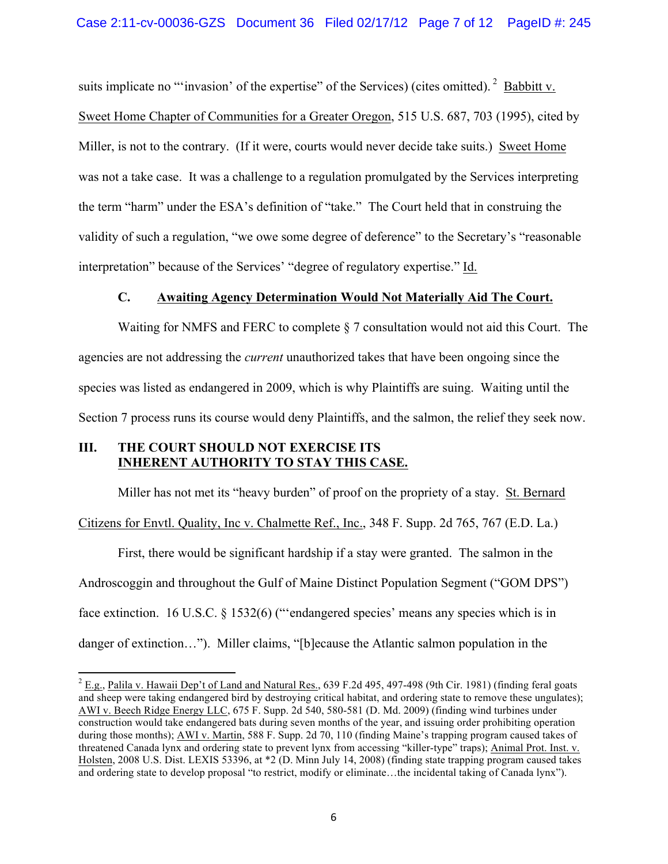suits implicate no "'invasion' of the expertise" of the Services) (cites omitted).  $2$  Babbitt v. Sweet Home Chapter of Communities for a Greater Oregon, 515 U.S. 687, 703 (1995), cited by Miller, is not to the contrary. (If it were, courts would never decide take suits.) Sweet Home was not a take case. It was a challenge to a regulation promulgated by the Services interpreting the term "harm" under the ESA's definition of "take." The Court held that in construing the validity of such a regulation, "we owe some degree of deference" to the Secretary's "reasonable interpretation" because of the Services' "degree of regulatory expertise." Id.

## **C. Awaiting Agency Determination Would Not Materially Aid The Court.**

Waiting for NMFS and FERC to complete § 7 consultation would not aid this Court. The agencies are not addressing the *current* unauthorized takes that have been ongoing since the species was listed as endangered in 2009, which is why Plaintiffs are suing. Waiting until the Section 7 process runs its course would deny Plaintiffs, and the salmon, the relief they seek now.

## **III. THE COURT SHOULD NOT EXERCISE ITS INHERENT AUTHORITY TO STAY THIS CASE.**

Miller has not met its "heavy burden" of proof on the propriety of a stay. St. Bernard

Citizens for Envtl. Quality, Inc v. Chalmette Ref., Inc., 348 F. Supp. 2d 765, 767 (E.D. La.)

First, there would be significant hardship if a stay were granted. The salmon in the Androscoggin and throughout the Gulf of Maine Distinct Population Segment ("GOM DPS") face extinction. 16 U.S.C. § 1532(6) ("endangered species' means any species which is in danger of extinction…"). Miller claims, "[b]ecause the Atlantic salmon population in the

 $2$  E.g., Palila v. Hawaii Dep't of Land and Natural Res., 639 F.2d 495, 497-498 (9th Cir. 1981) (finding feral goats and sheep were taking endangered bird by destroying critical habitat, and ordering state to remove these ungulates); AWI v. Beech Ridge Energy LLC, 675 F. Supp. 2d 540, 580-581 (D. Md. 2009) (finding wind turbines under construction would take endangered bats during seven months of the year, and issuing order prohibiting operation during those months); AWI v. Martin, 588 F. Supp. 2d 70, 110 (finding Maine's trapping program caused takes of threatened Canada lynx and ordering state to prevent lynx from accessing "killer-type" traps); Animal Prot. Inst. v. Holsten, 2008 U.S. Dist. LEXIS 53396, at \*2 (D. Minn July 14, 2008) (finding state trapping program caused takes and ordering state to develop proposal "to restrict, modify or eliminate…the incidental taking of Canada lynx").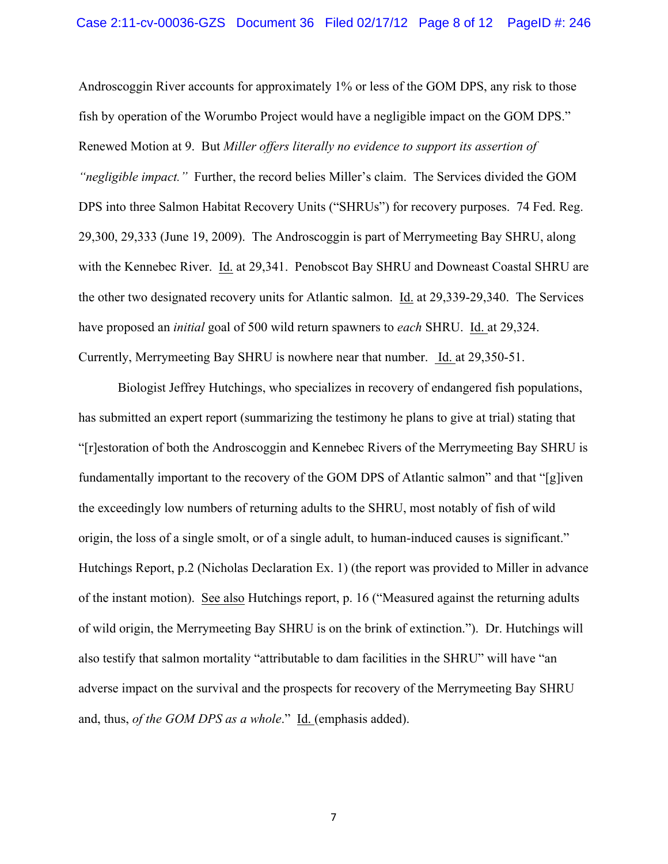Androscoggin River accounts for approximately 1% or less of the GOM DPS, any risk to those fish by operation of the Worumbo Project would have a negligible impact on the GOM DPS." Renewed Motion at 9. But *Miller offers literally no evidence to support its assertion of "negligible impact."* Further, the record belies Miller's claim. The Services divided the GOM DPS into three Salmon Habitat Recovery Units ("SHRUs") for recovery purposes. 74 Fed. Reg. 29,300, 29,333 (June 19, 2009). The Androscoggin is part of Merrymeeting Bay SHRU, along with the Kennebec River. Id. at 29,341. Penobscot Bay SHRU and Downeast Coastal SHRU are the other two designated recovery units for Atlantic salmon. Id. at 29,339-29,340. The Services have proposed an *initial* goal of 500 wild return spawners to *each* SHRU. Id. at 29,324. Currently, Merrymeeting Bay SHRU is nowhere near that number. Id. at 29,350-51.

Biologist Jeffrey Hutchings, who specializes in recovery of endangered fish populations, has submitted an expert report (summarizing the testimony he plans to give at trial) stating that "[r]estoration of both the Androscoggin and Kennebec Rivers of the Merrymeeting Bay SHRU is fundamentally important to the recovery of the GOM DPS of Atlantic salmon" and that "[g]iven the exceedingly low numbers of returning adults to the SHRU, most notably of fish of wild origin, the loss of a single smolt, or of a single adult, to human-induced causes is significant." Hutchings Report, p.2 (Nicholas Declaration Ex. 1) (the report was provided to Miller in advance of the instant motion). See also Hutchings report, p. 16 ("Measured against the returning adults of wild origin, the Merrymeeting Bay SHRU is on the brink of extinction."). Dr. Hutchings will also testify that salmon mortality "attributable to dam facilities in the SHRU" will have "an adverse impact on the survival and the prospects for recovery of the Merrymeeting Bay SHRU and, thus, *of the GOM DPS as a whole*." Id. (emphasis added).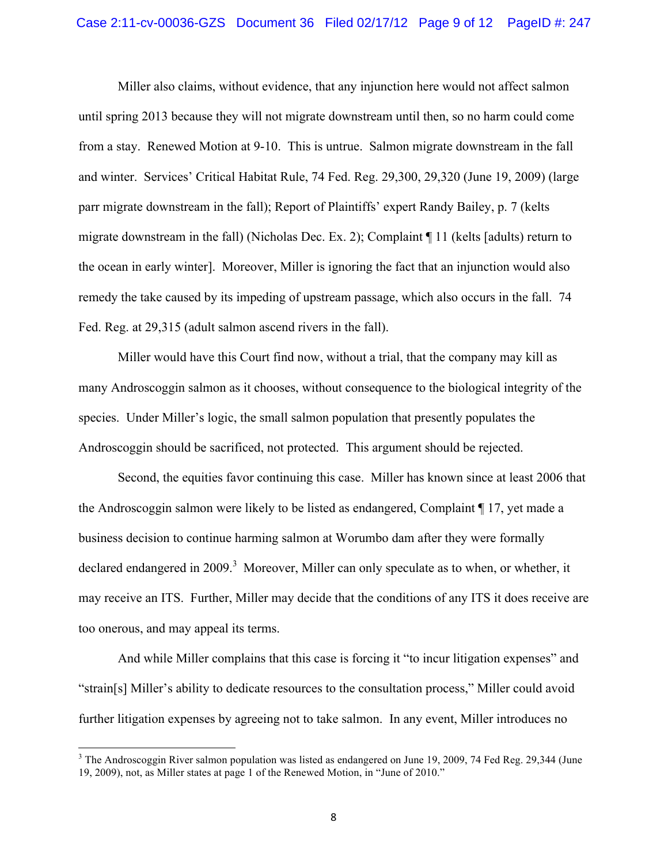#### Case 2:11-cv-00036-GZS Document 36 Filed 02/17/12 Page 9 of 12 PageID #: 247

Miller also claims, without evidence, that any injunction here would not affect salmon until spring 2013 because they will not migrate downstream until then, so no harm could come from a stay. Renewed Motion at 9-10. This is untrue. Salmon migrate downstream in the fall and winter. Services' Critical Habitat Rule, 74 Fed. Reg. 29,300, 29,320 (June 19, 2009) (large parr migrate downstream in the fall); Report of Plaintiffs' expert Randy Bailey, p. 7 (kelts migrate downstream in the fall) (Nicholas Dec. Ex. 2); Complaint ¶ 11 (kelts [adults) return to the ocean in early winter]. Moreover, Miller is ignoring the fact that an injunction would also remedy the take caused by its impeding of upstream passage, which also occurs in the fall. 74 Fed. Reg. at 29,315 (adult salmon ascend rivers in the fall).

Miller would have this Court find now, without a trial, that the company may kill as many Androscoggin salmon as it chooses, without consequence to the biological integrity of the species. Under Miller's logic, the small salmon population that presently populates the Androscoggin should be sacrificed, not protected. This argument should be rejected.

Second, the equities favor continuing this case. Miller has known since at least 2006 that the Androscoggin salmon were likely to be listed as endangered, Complaint ¶ 17, yet made a business decision to continue harming salmon at Worumbo dam after they were formally declared endangered in 2009.<sup>3</sup> Moreover, Miller can only speculate as to when, or whether, it may receive an ITS. Further, Miller may decide that the conditions of any ITS it does receive are too onerous, and may appeal its terms.

And while Miller complains that this case is forcing it "to incur litigation expenses" and "strain[s] Miller's ability to dedicate resources to the consultation process," Miller could avoid further litigation expenses by agreeing not to take salmon. In any event, Miller introduces no

<u> 1989 - Johann Stein, fransk politik (d. 1989)</u>

<sup>&</sup>lt;sup>3</sup> The Androscoggin River salmon population was listed as endangered on June 19, 2009, 74 Fed Reg. 29,344 (June 19, 2009), not, as Miller states at page 1 of the Renewed Motion, in "June of 2010."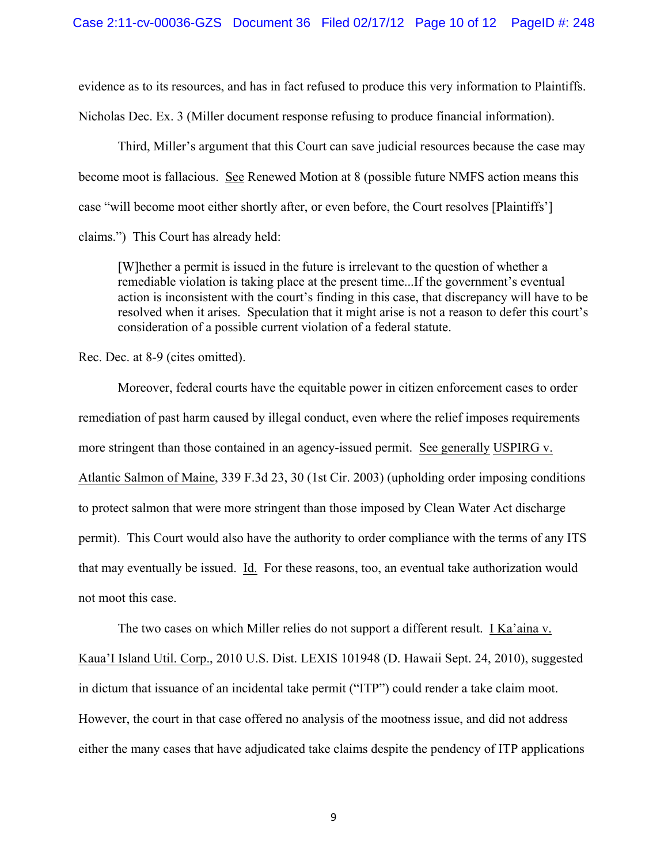evidence as to its resources, and has in fact refused to produce this very information to Plaintiffs.

Nicholas Dec. Ex. 3 (Miller document response refusing to produce financial information).

Third, Miller's argument that this Court can save judicial resources because the case may become moot is fallacious. See Renewed Motion at 8 (possible future NMFS action means this case "will become moot either shortly after, or even before, the Court resolves [Plaintiffs'] claims.") This Court has already held:

[W]hether a permit is issued in the future is irrelevant to the question of whether a remediable violation is taking place at the present time...If the government's eventual action is inconsistent with the court's finding in this case, that discrepancy will have to be resolved when it arises. Speculation that it might arise is not a reason to defer this court's consideration of a possible current violation of a federal statute.

Rec. Dec. at 8-9 (cites omitted).

Moreover, federal courts have the equitable power in citizen enforcement cases to order remediation of past harm caused by illegal conduct, even where the relief imposes requirements more stringent than those contained in an agency-issued permit. See generally USPIRG v. Atlantic Salmon of Maine, 339 F.3d 23, 30 (1st Cir. 2003) (upholding order imposing conditions to protect salmon that were more stringent than those imposed by Clean Water Act discharge permit). This Court would also have the authority to order compliance with the terms of any ITS that may eventually be issued. Id. For these reasons, too, an eventual take authorization would not moot this case.

The two cases on which Miller relies do not support a different result. I Ka'aina v.

Kaua'I Island Util. Corp., 2010 U.S. Dist. LEXIS 101948 (D. Hawaii Sept. 24, 2010), suggested in dictum that issuance of an incidental take permit ("ITP") could render a take claim moot. However, the court in that case offered no analysis of the mootness issue, and did not address either the many cases that have adjudicated take claims despite the pendency of ITP applications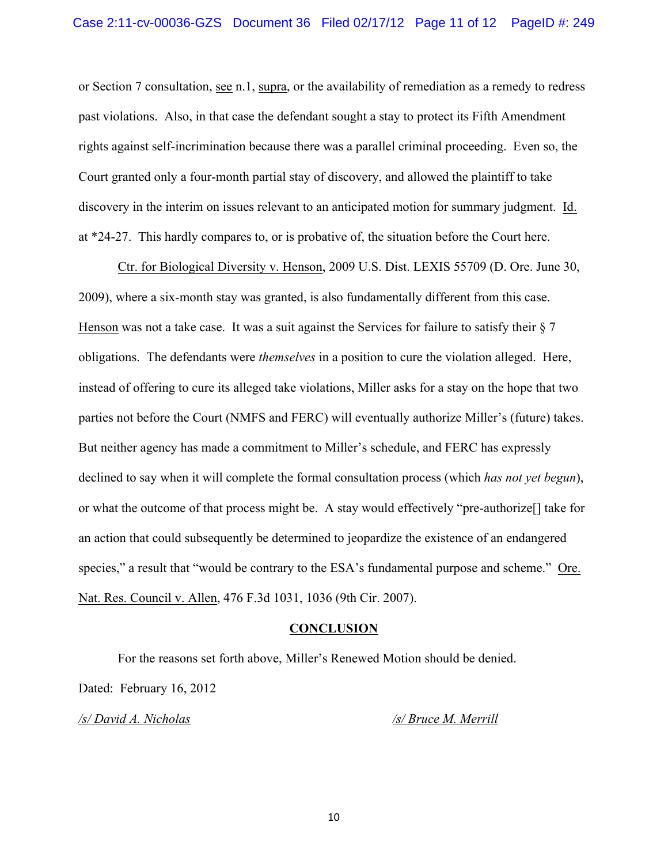or Section 7 consultation, see n.1, supra, or the availability of remediation as a remedy to redress past violations. Also, in that case the defendant sought a stay to protect its Fifth Amendment rights against self-incrimination because there was a parallel criminal proceeding. Even so, the Court granted only a four-month partial stay of discovery, and allowed the plaintiff to take discovery in the interim on issues relevant to an anticipated motion for summary judgment. Id. at \*24-27. This hardly compares to, or is probative of, the situation before the Court here.

Ctr. for Biological Diversity v. Henson, 2009 U.S. Dist. LEXIS 55709 (D. Ore. June 30, 2009), where a six-month stay was granted, is also fundamentally different from this case. Henson was not a take case. It was a suit against the Services for failure to satisfy their  $\S 7$ obligations. The defendants were *themselves* in a position to cure the violation alleged. Here, instead of offering to cure its alleged take violations, Miller asks for a stay on the hope that two parties not before the Court (NMFS and FERC) will eventually authorize Miller's (future) takes. But neither agency has made a commitment to Miller's schedule, and FERC has expressly declined to say when it will complete the formal consultation process (which *has not yet begun*), or what the outcome of that process might be. A stay would effectively "pre-authorize[] take for an action that could subsequently be determined to jeopardize the existence of an endangered species," a result that "would be contrary to the ESA's fundamental purpose and scheme." Ore. Nat. Res. Council v. Allen, 476 F.3d 1031, 1036 (9th Cir. 2007).

#### **CONCLUSION**

For the reasons set forth above, Miller's Renewed Motion should be denied. Dated: February 16, 2012

*/s/ David A. Nicholas /s/ Bruce M. Merrill*